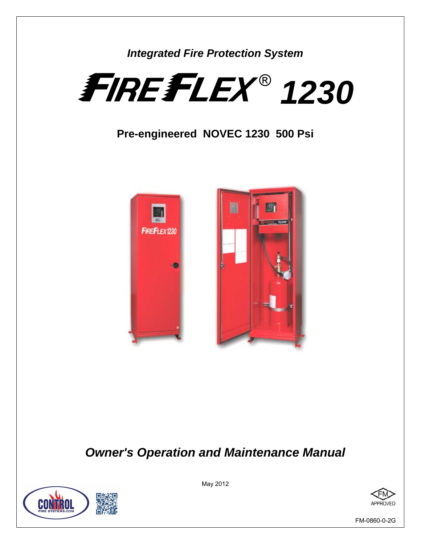



# **Pre-engineered NOVEC 1230 500 Psi**



# *Owner's Operation and Maintenance Manual*



May 2012



FM-0860-0-2G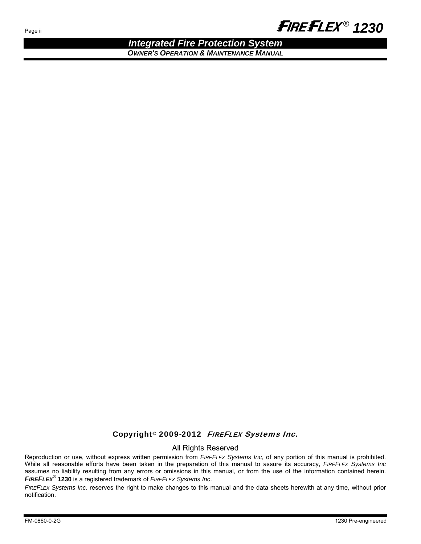

# Copyright© 2009-2012 FIREFLEX Systems Inc.

## All Rights Reserved

Reproduction or use, without express written permission from *FIREFLEX Systems Inc*, of any portion of this manual is prohibited. While all reasonable efforts have been taken in the preparation of this manual to assure its accuracy, *FIREFLEX Systems Inc* assumes no liability resulting from any errors or omissions in this manual, or from the use of the information contained herein. *FIREFLEX***® 1230** is a registered trademark of *FIREFLEX Systems Inc*.

*FIREFLEX Systems Inc*. reserves the right to make changes to this manual and the data sheets herewith at any time, without prior notification.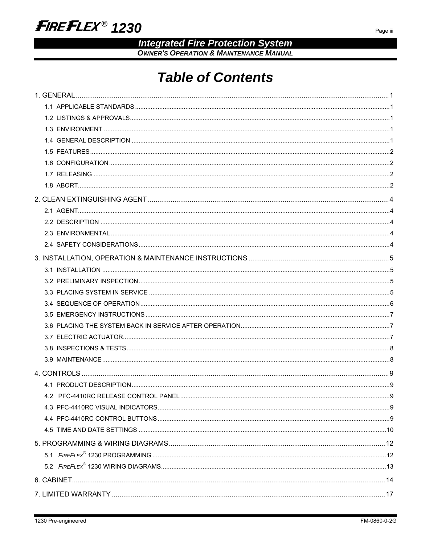

**OWNER'S OPERATION & MAINTENANCE MANUAL** 

# **Table of Contents**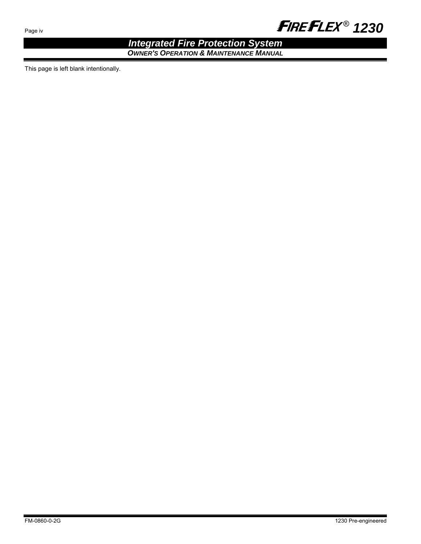

This page is left blank intentionally.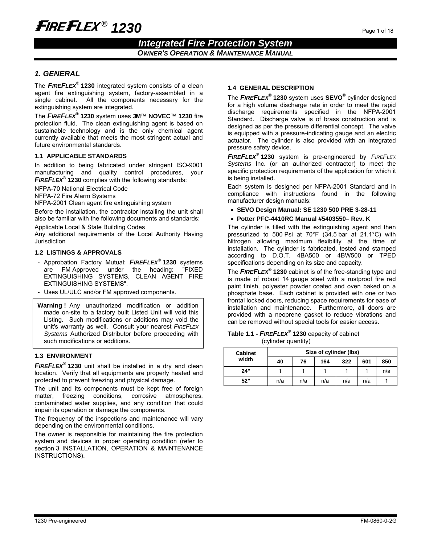# *1. GENERAL*

The *FIREFLEX***® 1230** integrated system consists of a clean agent fire extinguishing system, factory-assembled in a single cabinet. All the components necessary for the extinguishing system are integrated.

The *FIREFLEX***® 1230** system uses **3M**™ **NOVEC**™ **1230** fire protection fluid. The clean extinguishing agent is based on sustainable technology and is the only chemical agent currently available that meets the most stringent actual and future environmental standards.

## **1.1 APPLICABLE STANDARDS**

In addition to being fabricated under stringent ISO-9001 manufacturing and quality control procedures, your *FIREFLEX***® 1230** complies with the following standards:

NFPA-70 National Electrical Code

NFPA-72 Fire Alarm Systems

NFPA-2001 Clean agent fire extinguishing system

Before the installation, the contractor installing the unit shall also be familiar with the following documents and standards:

Applicable Local & State Building Codes

Any additional requirements of the Local Authority Having Jurisdiction

#### **1.2 LISTINGS & APPROVALS**

- Approbation Factory Mutual: *FIREFLEX***® 1230** systems are FM Approved under the heading: "FIXED EXTINGUISHING SYSTEMS, CLEAN AGENT FIRE EXTINGUISHING SYSTEMS".
- Uses UL/ULC and/or FM approved components.
- **Warning !** Any unauthorized modification or addition made on-site to a factory built Listed Unit will void this Listing. Such modifications or additions may void the unit's warranty as well. Consult your nearest *FIREFLEX Systems* Authorized Distributor before proceeding with such modifications or additions.

## **1.3 ENVIRONMENT**

*FIREFLEX***® 1230** unit shall be installed in a dry and clean location. Verify that all equipments are properly heated and protected to prevent freezing and physical damage.

The unit and its components must be kept free of foreign matter, freezing conditions, corrosive atmospheres, contaminated water supplies, and any condition that could impair its operation or damage the components.

The frequency of the inspections and maintenance will vary depending on the environmental conditions.

The owner is responsible for maintaining the fire protection system and devices in proper operating condition (refer to section 3 INSTALLATION, OPERATION & MAINTENANCE INSTRUCTIONS).

## **1.4 GENERAL DESCRIPTION**

The *FIREFLEX***® 1230** system uses **SEVO®** cylinder designed for a high volume discharge rate in order to meet the rapid discharge requirements specified in the NFPA-2001 Standard. Discharge valve is of brass construction and is designed as per the pressure differential concept. The valve is equipped with a pressure-indicating gauge and an electric actuator. The cylinder is also provided with an integrated pressure safety device.

*FIREFLEX***® 1230** system is pre-engineered by *FIREFLEX Systems* Inc. (or an authorized contractor) to meet the specific protection requirements of the application for which it is being installed.

Each system is designed per NFPA-2001 Standard and in compliance with instructions found in the following manufacturer design manuals:

• **SEVO Design Manual: SE 1230 500 PRE 3-28-11** 

## • **Potter PFC-4410RC Manual #5403550– Rev. K**

The cylinder is filled with the extinguishing agent and then pressurized to 500 Psi at 70°F (34.5 bar at 21.1°C) with Nitrogen allowing maximum flexibility at the time of installation. The cylinder is fabricated, tested and stamped according to D.O.T. 4BA500 or 4BW500 or TPED specifications depending on its size and capacity.

The *FIREFLEX***® 1230** cabinet is of the free-standing type and is made of robust 14 gauge steel with a rustproof fire red paint finish, polyester powder coated and oven baked on a phosphate base. Each cabinet is provided with one or two frontal locked doors, reducing space requirements for ease of installation and maintenance. Furthermore, all doors are provided with a neoprene gasket to reduce vibrations and can be removed without special tools for easier access.

| Table 1.1 - FIREFLEX <sup>®</sup> 1230 capacity of cabinet |  |
|------------------------------------------------------------|--|
| (cylinder quantity)                                        |  |

| <b>Cabinet</b> | Size of cylinder (lbs) |     |     |     |     |     |  |
|----------------|------------------------|-----|-----|-----|-----|-----|--|
| width          | 40                     | 76  | 322 | 601 | 850 |     |  |
| 24"            |                        |     |     |     |     | n/a |  |
| 52"            | n/a                    | n/a | n/a | n/a | n/a |     |  |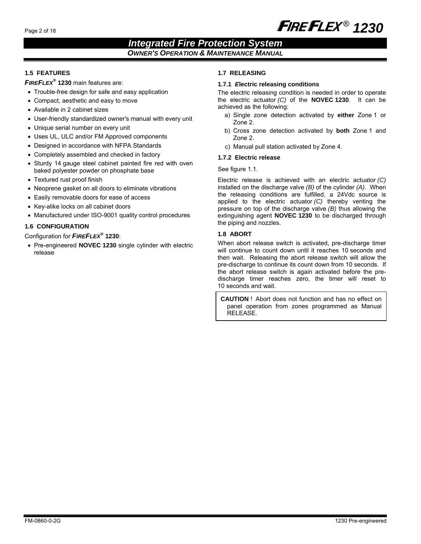

*OWNER'S OPERATION & MAINTENANCE MANUAL*

## **1.5 FEATURES**

*FIREFLEX***® 1230** main features are:

- Trouble-free design for safe and easy application
- Compact, aesthetic and easy to move
- Available in 2 cabinet sizes
- User-friendly standardized owner's manual with every unit
- Unique serial number on every unit
- Uses UL, ULC and/or FM Approved components
- Designed in accordance with NFPA Standards
- Completely assembled and checked in factory
- Sturdy 14 gauge steel cabinet painted fire red with oven baked polyester powder on phosphate base
- Textured rust proof finish
- Neoprene gasket on all doors to eliminate vibrations
- Easily removable doors for ease of access
- Key-alike locks on all cabinet doors
- Manufactured under ISO-9001 quality control procedures

## **1.6 CONFIGURATION**

Configuration for *FIREFLEX***® 1230**:

• Pre-engineered **NOVEC 1230** single cylinder with electric release

## **1.7 RELEASING**

#### **1.7.1** *E***lectric releasing conditions**

The electric releasing condition is needed in order to operate the electric actuator *(C)* of the **NOVEC 1230**. It can be achieved as the following:

- a) Single zone detection activated by **either** Zone 1 or Zone 2.
- b) Cross zone detection activated by **both** Zone 1 and Zone 2.
- c) Manual pull station activated by Zone 4.

#### **1.7.2 Electric release**

## See figure 1.1.

Electric release is achieved with an electric actuator *(C)* installed on the discharge valve *(B)* of the cylinder *(A)*. When the releasing conditions are fulfilled, a 24Vdc source is applied to the electric actuator *(C)* thereby venting the pressure on top of the discharge valve *(B)* thus allowing the extinguishing agent **NOVEC 1230** to be discharged through the piping and nozzles.

## **1.8 ABORT**

When abort release switch is activated, pre-discharge timer will continue to count down until it reaches 10 seconds and then wait. Releasing the abort release switch will allow the pre-discharge to continue its count down from 10 seconds. If the abort release switch is again activated before the predischarge timer reaches zero, the timer will reset to 10 seconds and wait.

**CAUTION** ! Abort does not function and has no effect on panel operation from zones programmed as Manual RELEASE.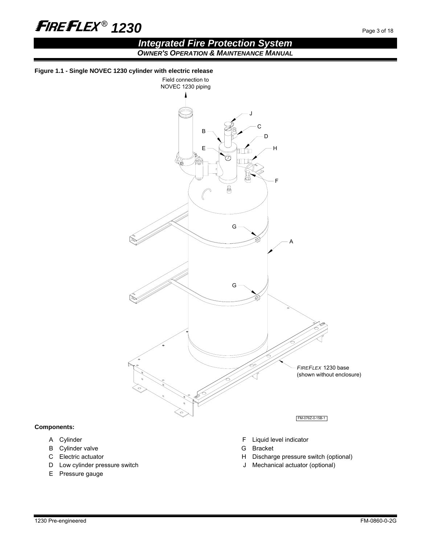



## **Components:**

- A Cylinder
- B Cylinder valve
- C Electric actuator
- D Low cylinder pressure switch
- E Pressure gauge
- F Liquid level indicator
- G Bracket
- H Discharge pressure switch (optional)
- J Mechanical actuator (optional)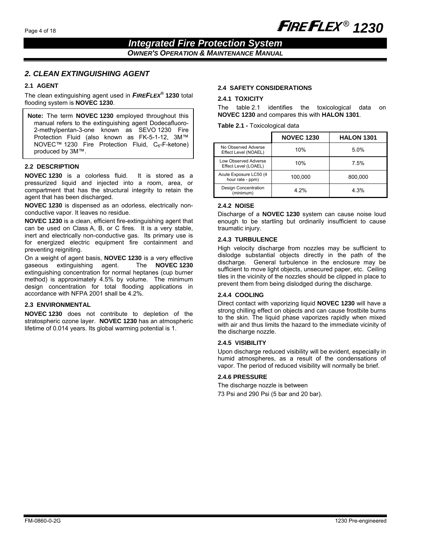# *2. CLEAN EXTINGUISHING AGENT*

## **2.1 AGENT**

The clean extinguishing agent used in *FIREFLEX***® 1230** total flooding system is **NOVEC 1230**.

**Note:** The term **NOVEC 1230** employed throughout this manual refers to the extinguishing agent Dodecafluoro-2-methylpentan-3-one known as SEVO 1230 Fire Protection Fluid (also known as FK-5-1-12, 3M™ NOVEC™ 1230 Fire Protection Fluid,  $C_6$ -F-ketone) produced by 3M™.

#### **2.2 DESCRIPTION**

**NOVEC 1230** is a colorless fluid. It is stored as a pressurized liquid and injected into a room, area, or compartment that has the structural integrity to retain the agent that has been discharged.

**NOVEC 1230** is dispensed as an odorless, electrically nonconductive vapor. It leaves no residue.

**NOVEC 1230** is a clean, efficient fire-extinguishing agent that can be used on Class A, B, or C fires. It is a very stable, inert and electrically non-conductive gas. Its primary use is for energized electric equipment fire containment and preventing reigniting.

On a weight of agent basis, **NOVEC 1230** is a very effective gaseous extinguishing agent. The **NOVEC 1230** extinguishing concentration for normal heptanes (cup burner method) is approximately 4.5% by volume. The minimum design concentration for total flooding applications in accordance with NFPA 2001 shall be 4.2%.

#### **2.3 ENVIRONMENTAL**

**NOVEC 1230** does not contribute to depletion of the stratospheric ozone layer. **NOVEC 1230** has an atmospheric lifetime of 0.014 years. Its global warming potential is 1.

## **2.4 SAFETY CONSIDERATIONS**

#### **2.4.1 TOXICITY**

The table 2.1 identifies the toxicological data on **NOVEC 1230** and compares this with **HALON 1301**.

#### **Table 2.1 -** Toxicological data

|                                              | <b>NOVEC 1230</b> | <b>HALON 1301</b> |
|----------------------------------------------|-------------------|-------------------|
| No Observed Adverse<br>Effect Level (NOAEL)  | 10%               | 5.0%              |
| Low Observed Adverse<br>Effect Level (LOAEL) | 10%               | 7.5%              |
| Acute Exposure LC50 (4<br>hour rate - ppm)   | 100.000           | 800,000           |
| <b>Design Concentration</b><br>(minimum)     | 4 2%              | 4.3%              |

#### **2.4.2 NOISE**

Discharge of a **NOVEC 1230** system can cause noise loud enough to be startling but ordinarily insufficient to cause traumatic injury.

#### **2.4.3 TURBULENCE**

High velocity discharge from nozzles may be sufficient to dislodge substantial objects directly in the path of the discharge. General turbulence in the enclosure may be sufficient to move light objects, unsecured paper, etc. Ceiling tiles in the vicinity of the nozzles should be clipped in place to prevent them from being dislodged during the discharge.

#### **2.4.4 COOLING**

Direct contact with vaporizing liquid **NOVEC 1230** will have a strong chilling effect on objects and can cause frostbite burns to the skin. The liquid phase vaporizes rapidly when mixed with air and thus limits the hazard to the immediate vicinity of the discharge nozzle.

#### **2.4.5 VISIBILITY**

Upon discharge reduced visibility will be evident, especially in humid atmospheres, as a result of the condensations of vapor. The period of reduced visibility will normally be brief.

#### **2.4.6 PRESSURE**

The discharge nozzle is between 73 Psi and 290 Psi (5 bar and 20 bar).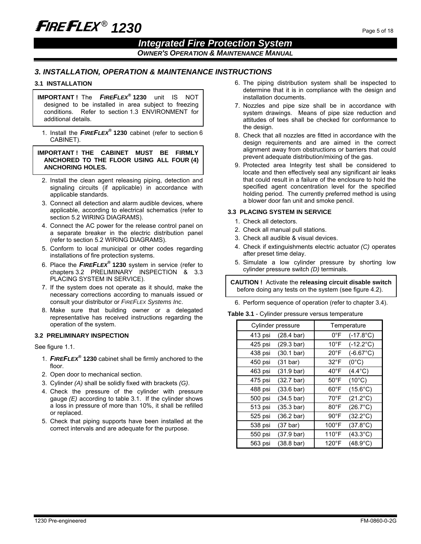# *3. INSTALLATION, OPERATION & MAINTENANCE INSTRUCTIONS*

### **3.1 INSTALLATION**

**IMPORTANT !** The *FIREFLEX***® 1230** unit IS NOT designed to be installed in area subject to freezing conditions. Refer to section 1.3 ENVIRONMENT for additional details.

 1. Install the *FIREFLEX***® 1230** cabinet (refer to section 6 CABINET).

**IMPORTANT ! THE CABINET MUST BE FIRMLY ANCHORED TO THE FLOOR USING ALL FOUR (4) ANCHORING HOLES.** 

- 2. Install the clean agent releasing piping, detection and signaling circuits (if applicable) in accordance with applicable standards.
- 3. Connect all detection and alarm audible devices, where applicable, according to electrical schematics (refer to section 5.2 WIRING DIAGRAMS).
- 4. Connect the AC power for the release control panel on a separate breaker in the electric distribution panel (refer to section 5.2 WIRING DIAGRAMS).
- 5. Conform to local municipal or other codes regarding installations of fire protection systems.
- 6. Place the *FIREFLEX***® 1230** system in service (refer to chapters 3.2 PRELIMINARY INSPECTION & 3.3 PLACING SYSTEM IN SERVICE).
	- 7. If the system does not operate as it should, make the necessary corrections according to manuals issued or consult your distributor or *FIREFLEX Systems Inc*.
	- 8. Make sure that building owner or a delegated representative has received instructions regarding the operation of the system.

## **3.2 PRELIMINARY INSPECTION**

See figure 1.1.

- 1. *FIREFLEX***® 1230** cabinet shall be firmly anchored to the floor.
	- 2. Open door to mechanical section.
	- 3. Cylinder *(A)* shall be solidly fixed with brackets *(G)*.
	- 4. Check the pressure of the cylinder with pressure gauge *(E)* according to table 3.1. If the cylinder shows a loss in pressure of more than 10%, it shall be refilled or replaced.
	- 5. Check that piping supports have been installed at the correct intervals and are adequate for the purpose.
- 6. The piping distribution system shall be inspected to determine that it is in compliance with the design and installation documents.
- 7. Nozzles and pipe size shall be in accordance with system drawings. Means of pipe size reduction and attitudes of tees shall be checked for conformance to the design.
- 8. Check that all nozzles are fitted in accordance with the design requirements and are aimed in the correct alignment away from obstructions or barriers that could prevent adequate distribution/mixing of the gas.
- 9. Protected area Integrity test shall be considered to locate and then effectively seal any significant air leaks that could result in a failure of the enclosure to hold the specified agent concentration level for the specified holding period. The currently preferred method is using a blower door fan unit and smoke pencil.

## **3.3 PLACING SYSTEM IN SERVICE**

- 1. Check all detectors.
- 2. Check all manual pull stations.
- 3. Check all audible & visual devices.
- 4. Check if extinguishments electric actuator *(C)* operates after preset time delay.
- 5. Simulate a low cylinder pressure by shorting low cylinder pressure switch *(D)* terminals.

**CAUTION !** Activate the **releasing circuit disable switch** before doing any tests on the system (see figure 4.2).

6. Perform sequence of operation (refer to chapter 3.4).

| Table 3.1 - Cylinder pressure versus temperature |  |  |
|--------------------------------------------------|--|--|
|--------------------------------------------------|--|--|

|         | Cylinder pressure    |                 | Temperature        |
|---------|----------------------|-----------------|--------------------|
| 413 psi | $(28.4 \text{ bar})$ | 0°F             | $(-17.8^{\circ}C)$ |
| 425 psi | $(29.3 \text{ bar})$ | $10^{\circ}$ F  | $(-12.2^{\circ}C)$ |
| 438 psi | $(30.1 \text{ bar})$ | $20^{\circ}$ F  | $(-6.67^{\circ}C)$ |
| 450 psi | (31 bar)             | $32^{\circ}$ F  | $(0^{\circ}C)$     |
| 463 psi | $(31.9 \text{ bar})$ | $40^{\circ}$ F  | $(4.4^{\circ}C)$   |
| 475 psi | $(32.7 \text{ bar})$ | $50^{\circ}$ F  | $(10^{\circ}C)$    |
| 488 psi | $(33.6 \text{ bar})$ | $60^{\circ}$ F  | $(15.6^{\circ}C)$  |
| 500 psi | $(34.5 \text{ bar})$ | $70^{\circ}$ F  | $(21.2^{\circ}C)$  |
| 513 psi | $(35.3 \text{ bar})$ | $80^{\circ}$ F  | $(26.7^{\circ}C)$  |
| 525 psi | $(36.2 \text{ bar})$ | $90^{\circ}$ F  | $(32.2^{\circ}C)$  |
| 538 psi | $(37 \text{ bar})$   | $100^{\circ}$ F | $(37.8^{\circ}C)$  |
| 550 psi | $(37.9 \text{ bar})$ | $110^{\circ}$ F | $(43.3^{\circ}C)$  |
| 563 psi | $(38.8 \text{ bar})$ | 120°F           | $(48.9^{\circ}C)$  |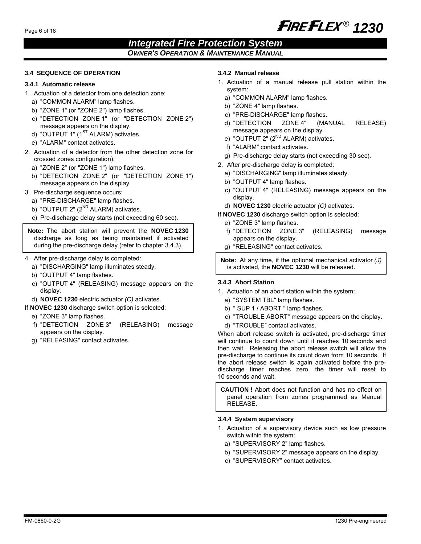

*OWNER'S OPERATION & MAINTENANCE MANUAL*

## **3.4 SEQUENCE OF OPERATION**

#### **3.4.1 Automatic release**

- 1. Actuation of a detector from one detection zone:
	- a) "COMMON ALARM" lamp flashes.
	- b) "ZONE 1" (or "ZONE 2") lamp flashes.
	- c) "DETECTION ZONE 1" (or "DETECTION ZONE 2") message appears on the display.
	- d) "OUTPUT 1"  $(1<sup>ST</sup> ALARM)$  activates.
	- e) "ALARM" contact activates.
- 2. Actuation of a detector from the other detection zone for crossed zones configuration):
	- a) "ZONE 2" (or "ZONE 1") lamp flashes.
	- b) "DETECTION ZONE 2" (or "DETECTION ZONE 1") message appears on the display.
- 3. Pre-discharge sequence occurs:
	- a) "PRE-DISCHARGE" lamp flashes.
	- b) "OUTPUT 2"  $(2^{ND}$  ALARM) activates.
	- c) Pre-discharge delay starts (not exceeding 60 sec).

**Note:** The abort station will prevent the **NOVEC 1230** discharge as long as being maintained if activated during the pre-discharge delay (refer to chapter 3.4.3).

- 4. After pre-discharge delay is completed:
	- a) "DISCHARGING" lamp illuminates steady.
	- b) "OUTPUT 4" lamp flashes.
	- c) "OUTPUT 4" (RELEASING) message appears on the display.
	- d) **NOVEC 1230** electric actuator *(C)* activates.
- If **NOVEC 1230** discharge switch option is selected:
	- e) "ZONE 3" lamp flashes.
	- f) "DETECTION ZONE 3" (RELEASING) message appears on the display.
	- g) "RELEASING" contact activates.

## **3.4.2 Manual release**

- 1. Actuation of a manual release pull station within the system:
	- a) "COMMON ALARM" lamp flashes.
	- b) "ZONE 4" lamp flashes.
	- c) "PRE-DISCHARGE" lamp flashes.
	- d) "DETECTION ZONE 4" (MANUAL RELEASE) message appears on the display.
	- e) "OUTPUT 2"  $(2^{ND}$  ALARM) activates.
	- f) "ALARM" contact activates.
	- g) Pre-discharge delay starts (not exceeding 30 sec).
- 2. After pre-discharge delay is completed:
	- a) "DISCHARGING" lamp illuminates steady.
	- b) "OUTPUT 4" lamp flashes.
	- c) "OUTPUT 4" (RELEASING) message appears on the display.
	- d) **NOVEC 1230** electric actuator *(C)* activates.
- If **NOVEC 1230** discharge switch option is selected:
	- e) "ZONE 3" lamp flashes.
	- f) "DETECTION ZONE 3" (RELEASING) message appears on the display.
	- g) "RELEASING" contact activates.

**Note:** At any time, if the optional mechanical activator *(J)* is activated, the **NOVEC 1230** will be released.

## **3.4.3 Abort Station**

- 1. Actuation of an abort station within the system:
	- a) "SYSTEM TBL" lamp flashes.
	- b) " SUP 1 / ABORT " lamp flashes.
	- c) "TROUBLE ABORT" message appears on the display.
	- d) "TROUBLE" contact activates.

When abort release switch is activated, pre-discharge timer will continue to count down until it reaches 10 seconds and then wait. Releasing the abort release switch will allow the pre-discharge to continue its count down from 10 seconds. If the abort release switch is again activated before the predischarge timer reaches zero, the timer will reset to 10 seconds and wait.

**CAUTION !** Abort does not function and has no effect on panel operation from zones programmed as Manual RELEASE.

## **3.4.4 System supervisory**

- 1. Actuation of a supervisory device such as low pressure switch within the system:
	- a) "SUPERVISORY 2" lamp flashes.
	- b) "SUPERVISORY 2" message appears on the display.
	- c) "SUPERVISORY" contact activates.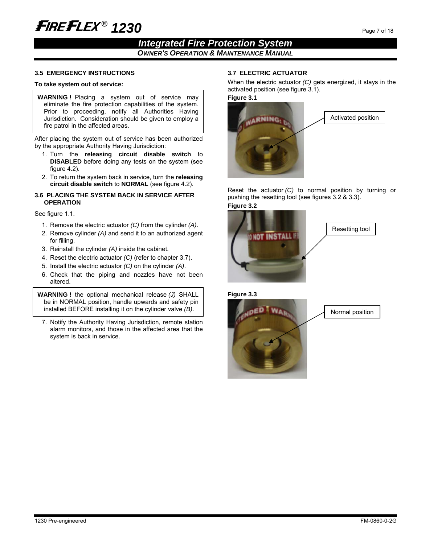#### **3.5 EMERGENCY INSTRUCTIONS**

#### **To take system out of service:**

**WARNING !** Placing a system out of service may eliminate the fire protection capabilities of the system. Prior to proceeding, notify all Authorities Having Jurisdiction. Consideration should be given to employ a fire patrol in the affected areas.

After placing the system out of service has been authorized by the appropriate Authority Having Jurisdiction:

- 1. Turn the **releasing circuit disable switch** to **DISABLED** before doing any tests on the system (see figure 4.2).
- 2. To return the system back in service, turn the **releasing circuit disable switch** to **NORMAL** (see figure 4.2).

#### **3.6 PLACING THE SYSTEM BACK IN SERVICE AFTER OPERATION**

#### See figure 1.1.

- 1. Remove the electric actuator *(C)* from the cylinder *(A)*.
- 2. Remove cylinder *(A)* and send it to an authorized agent for filling.
- 3. Reinstall the cylinder *(A)* inside the cabinet.
- 4. Reset the electric actuator *(C)* (refer to chapter 3.7).
- 5. Install the electric actuator *(C)* on the cylinder *(A)*.
- 6. Check that the piping and nozzles have not been altered.

**WARNING !** the optional mechanical release *(J)* SHALL be in NORMAL position, handle upwards and safety pin installed BEFORE installing it on the cylinder valve *(B)*.

 7. Notify the Authority Having Jurisdiction, remote station alarm monitors, and those in the affected area that the system is back in service.

## **3.7 ELECTRIC ACTUATOR**

When the electric actuator *(C)* gets energized, it stays in the activated position (see figure 3.1).

## **Figure 3.1**





Reset the actuator *(C)* to normal position by turning or pushing the resetting tool (see figures 3.2 & 3.3).

**Figure 3.2** 



**Figure 3.3** 

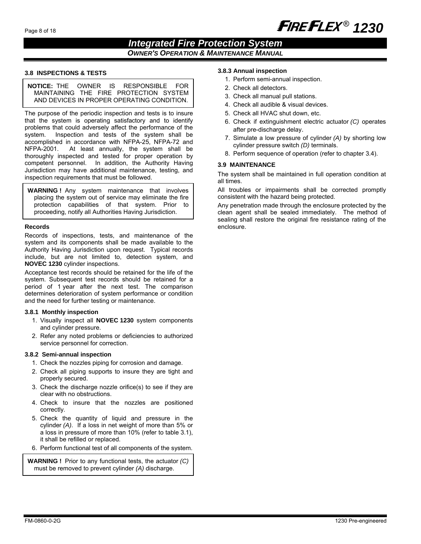

#### **3.8 INSPECTIONS & TESTS**

**NOTICE:** THE OWNER IS RESPONSIBLE FOR MAINTAINING THE FIRE PROTECTION SYSTEM AND DEVICES IN PROPER OPERATING CONDITION.

The purpose of the periodic inspection and tests is to insure that the system is operating satisfactory and to identify problems that could adversely affect the performance of the system. Inspection and tests of the system shall be accomplished in accordance with NFPA-25, NFPA-72 and NFPA-2001. At least annually, the system shall be thoroughly inspected and tested for proper operation by competent personnel. In addition, the Authority Having Jurisdiction may have additional maintenance, testing, and inspection requirements that must be followed.

**WARNING !** Any system maintenance that involves placing the system out of service may eliminate the fire protection capabilities of that system. Prior to proceeding, notify all Authorities Having Jurisdiction.

#### **Records**

Records of inspections, tests, and maintenance of the system and its components shall be made available to the Authority Having Jurisdiction upon request. Typical records include, but are not limited to, detection system, and **NOVEC 1230** cylinder inspections.

Acceptance test records should be retained for the life of the system. Subsequent test records should be retained for a period of 1 year after the next test. The comparison determines deterioration of system performance or condition and the need for further testing or maintenance.

#### **3.8.1 Monthly inspection**

- 1. Visually inspect all **NOVEC 1230** system components and cylinder pressure.
- 2. Refer any noted problems or deficiencies to authorized service personnel for correction.

#### **3.8.2 Semi-annual inspection**

- 1. Check the nozzles piping for corrosion and damage.
- 2. Check all piping supports to insure they are tight and properly secured.
- 3. Check the discharge nozzle orifice(s) to see if they are clear with no obstructions.
- 4. Check to insure that the nozzles are positioned correctly.
- 5. Check the quantity of liquid and pressure in the cylinder *(A)*. If a loss in net weight of more than 5% or a loss in pressure of more than 10% (refer to table 3.1), it shall be refilled or replaced.
- 6. Perform functional test of all components of the system.

**WARNING !** Prior to any functional tests, the actuator *(C)* must be removed to prevent cylinder *(A)* discharge.

#### **3.8.3 Annual inspection**

- 1. Perform semi-annual inspection.
- 2. Check all detectors.
- 3. Check all manual pull stations.
- 4. Check all audible & visual devices.
- 5. Check all HVAC shut down, etc.
- 6. Check if extinguishment electric actuator *(C)* operates after pre-discharge delay.
- 7. Simulate a low pressure of cylinder *(A)* by shorting low cylinder pressure switch *(D)* terminals.
- 8. Perform sequence of operation (refer to chapter 3.4).

## **3.9 MAINTENANCE**

The system shall be maintained in full operation condition at all times.

All troubles or impairments shall be corrected promptly consistent with the hazard being protected.

Any penetration made through the enclosure protected by the clean agent shall be sealed immediately. The method of sealing shall restore the original fire resistance rating of the enclosure.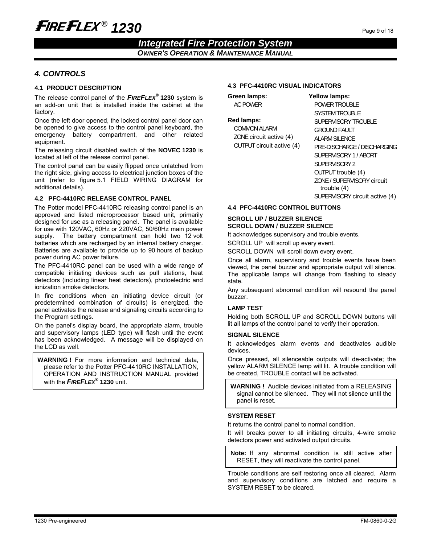*OWNER'S OPERATION & MAINTENANCE MANUAL*

# *4. CONTROLS*

## **4.1 PRODUCT DESCRIPTION**

The release control panel of the *FIREFLEX***® 1230** system is an add-on unit that is installed inside the cabinet at the factory.

Once the left door opened, the locked control panel door can be opened to give access to the control panel keyboard, the emergency battery compartment, and other related equipment.

The releasing circuit disabled switch of the **NOVEC 1230** is located at left of the release control panel.

The control panel can be easily flipped once unlatched from the right side, giving access to electrical junction boxes of the unit (refer to figure 5.1 FIELD WIRING DIAGRAM for additional details).

## **4.2 PFC-4410RC RELEASE CONTROL PANEL**

The Potter model PFC-4410RC releasing control panel is an approved and listed microprocessor based unit, primarily designed for use as a releasing panel. The panel is available for use with 120VAC, 60Hz or 220VAC, 50/60Hz main power supply. The battery compartment can hold two 12 volt batteries which are recharged by an internal battery charger. Batteries are available to provide up to 90 hours of backup power during AC power failure.

The PFC-4410RC panel can be used with a wide range of compatible initiating devices such as pull stations, heat detectors (including linear heat detectors), photoelectric and ionization smoke detectors.

In fire conditions when an initiating device circuit (or predetermined combination of circuits) is energized, the panel activates the release and signaling circuits according to the Program settings.

On the panel's display board, the appropriate alarm, trouble and supervisory lamps (LED type) will flash until the event has been acknowledged. A message will be displayed on the LCD as well.

**WARNING !** For more information and technical data, please refer to the Potter PFC-4410RC INSTALLATION, OPERATION AND INSTRUCTION MANUAL provided with the *FIREFLEX***® 1230** unit.

#### **4.3 PFC-4410RC VISUAL INDICATORS**

| Green lamps:        | Yellow lamps:         |  |
|---------------------|-----------------------|--|
| AC POWER            | POWER TROUBLE         |  |
|                     | <b>SYSTEM TROUBLE</b> |  |
| <b>Red lamps:</b>   | SUPERVISORY TROUBLE   |  |
| <b>COMMON ALARM</b> | <b>GROUND FAULT</b>   |  |
|                     |                       |  |

ZONE circuit active (4) OUTPUT circuit active (4) ALARM SILENCE PRE-DISCHARGE / DISCHARGING SUPERVISORY 1 / ABORT SUPERVISORY 2 OUTPUT trouble (4) ZONE / SUPERVISORY circuit trouble (4) SUPERVISORY circuit active (4)

#### **4.4 PFC-4410RC CONTROL BUTTONS**

#### **SCROLL UP / BUZZER SILENCE SCROLL DOWN / BUZZER SILENCE**

It acknowledges supervisory and trouble events.

SCROLL UP will scroll up every event.

SCROLL DOWN will scroll down every event.

Once all alarm, supervisory and trouble events have been viewed, the panel buzzer and appropriate output will silence. The applicable lamps will change from flashing to steady state.

Any subsequent abnormal condition will resound the panel buzzer.

# **LAMP TEST**

Holding both SCROLL UP and SCROLL DOWN buttons will lit all lamps of the control panel to verify their operation.

#### **SIGNAL SILENCE**

It acknowledges alarm events and deactivates audible devices.

Once pressed, all silenceable outputs will de-activate; the yellow ALARM SILENCE lamp will lit. A trouble condition will be created, TROUBLE contact will be activated.

**WARNING !** Audible devices initiated from a RELEASING signal cannot be silenced. They will not silence until the panel is reset.

## **SYSTEM RESET**

It returns the control panel to normal condition.

It will breaks power to all initiating circuits, 4-wire smoke detectors power and activated output circuits.

**Note:** If any abnormal condition is still active after RESET, they will reactivate the control panel.

Trouble conditions are self restoring once all cleared. Alarm and supervisory conditions are latched and require a SYSTEM RESET to be cleared.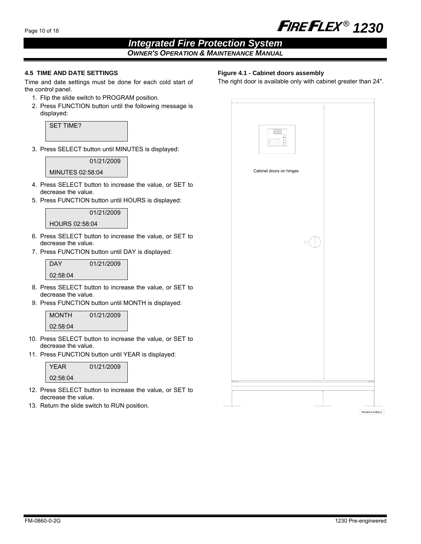Page 10 of 18

# ®  *1230*

# *Integrated Fire Protection System*

*OWNER'S OPERATION & MAINTENANCE MANUAL*

## **4.5 TIME AND DATE SETTINGS**

Time and date settings must be done for each cold start of the control panel.

- 1. Flip the slide switch to PROGRAM position.
- 2. Press FUNCTION button until the following message is displayed:

SET TIME?

3. Press SELECT button until MINUTES is displayed:

 01/21/2009 MINUTES 02:58:04

- 4. Press SELECT button to increase the value, or SET to decrease the value.
- 5. Press FUNCTION button until HOURS is displayed:

 01/21/2009 HOURS 02:58:04

- 6. Press SELECT button to increase the value, or SET to decrease the value.
- 7. Press FUNCTION button until DAY is displayed:



- 8. Press SELECT button to increase the value, or SET to decrease the value.
- 9. Press FUNCTION button until MONTH is displayed:



- 10. Press SELECT button to increase the value, or SET to decrease the value.
- 11. Press FUNCTION button until YEAR is displayed:

| <b>YEAR</b> | 01/21/2009 |
|-------------|------------|
| 02:58:04    |            |

- 12. Press SELECT button to increase the value, or SET to decrease the value.
- 13. Return the slide switch to RUN position.

## **Figure 4.1 - Cabinet doors assembly**

The right door is available only with cabinet greater than 24".

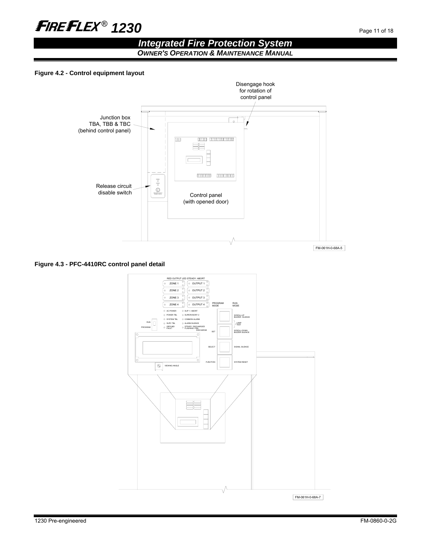# **<sup>®</sup>** 1230 Page 11 of 18

# *Integrated Fire Protection System OWNER'S OPERATION & MAINTENANCE MANUAL*

## **Figure 4.2 - Control equipment layout**





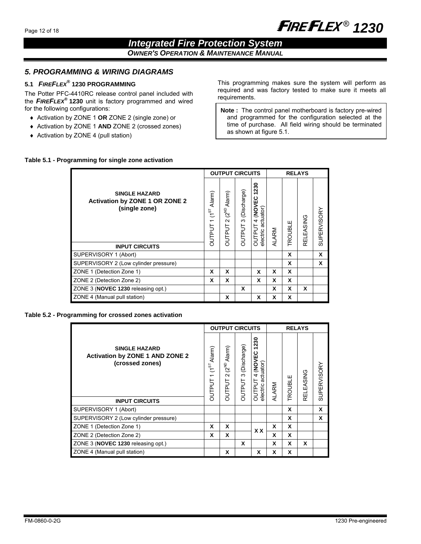# *5. PROGRAMMING & WIRING DIAGRAMS*

# **5.1** *FIREFLEX®*  **1230 PROGRAMMING**

The Potter PFC-4410RC release control panel included with the *FIREFLEX***® 1230** unit is factory programmed and wired for the following configurations:

♦ Activation by ZONE 1 **OR** ZONE 2 (single zone) or

**Table 5.1 - Programming for single zone activation** 

- ♦ Activation by ZONE 1 **AND** ZONE 2 (crossed zones)
- ♦ Activation by ZONE 4 (pull station)

This programming makes sure the system will perform as required and was factory tested to make sure it meets all requirements.

**Note :** The control panel motherboard is factory pre-wired and programmed for the configuration selected at the time of purchase. All field wiring should be terminated as shown at figure 5.1.

| <b>SINGLE HAZARD</b><br><b>Activation by ZONE 1 OR ZONE 2</b><br>(single zone)<br>$\overline{1}$ |               | <b>OUTPUT CIRCUITS</b>                          |                                   |                                                              |              | <b>RELAYS</b> |           |                    |  |
|--------------------------------------------------------------------------------------------------|---------------|-------------------------------------------------|-----------------------------------|--------------------------------------------------------------|--------------|---------------|-----------|--------------------|--|
|                                                                                                  |               | Alarm)<br>$(2^{ND}$<br>$\sim$<br><b>LIALING</b> | (Discharge)<br>S<br><b>LN4LNC</b> | 1230<br>(NOVEC<br>actuator<br>4<br><b>LUALIO</b><br>electric | <b>ALARM</b> | TROUBLE       | RELEASING | <b>SUPERVISORY</b> |  |
| <b>INPUT CIRCUITS</b>                                                                            | <b>LN4LNC</b> |                                                 |                                   |                                                              |              |               |           |                    |  |
| SUPERVISORY 1 (Abort)                                                                            |               |                                                 |                                   |                                                              |              | X             |           | X                  |  |
| SUPERVISORY 2 (Low cylinder pressure)                                                            |               |                                                 |                                   |                                                              |              | X             |           | X                  |  |
| ZONE 1 (Detection Zone 1)                                                                        | X             | X                                               |                                   | X                                                            | X            | X             |           |                    |  |
| ZONE 2 (Detection Zone 2)                                                                        | X             | X                                               |                                   | X                                                            | X            | X             |           |                    |  |
| ZONE 3 (NOVEC 1230 releasing opt.)                                                               |               |                                                 | X                                 |                                                              | X            | X             | X         |                    |  |
| ZONE 4 (Manual pull station)                                                                     |               | X                                               |                                   | x                                                            | X            | X             |           |                    |  |

**Table 5.2 - Programming for crossed zones activation** 

| <b>SINGLE HAZARD</b><br><b>Activation by ZONE 1 AND ZONE 2</b><br>(crossed zones) |        | <b>OUTPUT CIRCUITS</b>                         |                                    |                                                                |       | <b>RELAYS</b>  |           |                    |
|-----------------------------------------------------------------------------------|--------|------------------------------------------------|------------------------------------|----------------------------------------------------------------|-------|----------------|-----------|--------------------|
|                                                                                   |        | Alarm)<br>$2^{40}$<br>$\sim$<br><b>LNALINC</b> | (Discharge)<br>ო<br><b>LIALING</b> | 1230<br>(NOVEC<br>actuator)<br>4<br><b>LIALINO</b><br>electric | ALARM | <b>TROUBLE</b> | RELEASING | <b>SUPERVISORY</b> |
| <b>INPUT CIRCUITS</b>                                                             | TUFFUT |                                                |                                    |                                                                |       |                |           |                    |
| SUPERVISORY 1 (Abort)                                                             |        |                                                |                                    |                                                                |       | X              |           | X                  |
| SUPERVISORY 2 (Low cylinder pressure)                                             |        |                                                |                                    |                                                                |       | X              |           | X                  |
| ZONE 1 (Detection Zone 1)                                                         |        | x                                              |                                    | <b>XX</b>                                                      | X     | X              |           |                    |
| ZONE 2 (Detection Zone 2)                                                         |        | x                                              |                                    |                                                                | X     | X              |           |                    |
| ZONE 3 (NOVEC 1230 releasing opt.)                                                |        |                                                | X                                  |                                                                | x     | x              | X         |                    |
| ZONE 4 (Manual pull station)                                                      |        | x                                              |                                    | x                                                              | x     | x              |           |                    |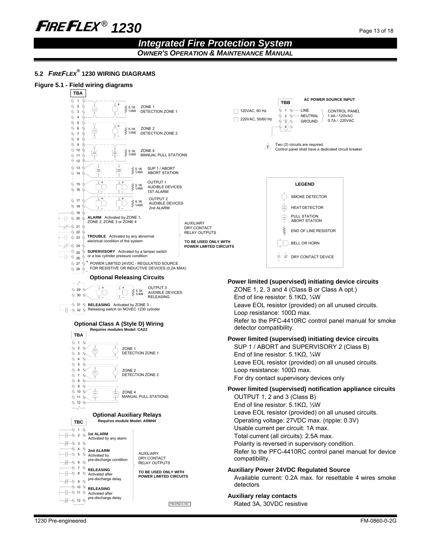# **5.2** *FIREFLEX®*  **1230 WIRING DIAGRAMS**



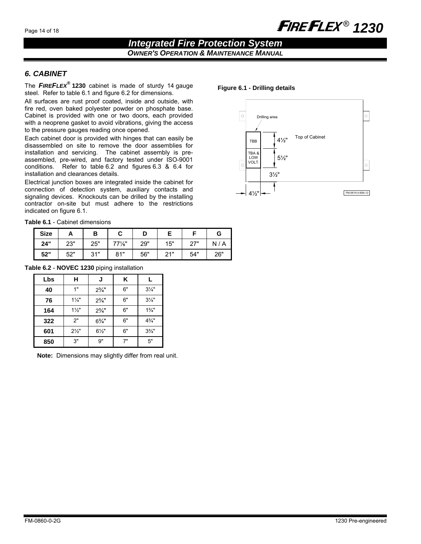

*OWNER'S OPERATION & MAINTENANCE MANUAL*

**Figure 6.1 - Drilling details** 

# *6. CABINET*

The *FIREFLEX®*  **1230** cabinet is made of sturdy 14 gauge steel. Refer to table 6.1 and figure 6.2 for dimensions.

All surfaces are rust proof coated, inside and outside, with fire red, oven baked polyester powder on phosphate base. Cabinet is provided with one or two doors, each provided with a neoprene gasket to avoid vibrations, giving the access to the pressure gauges reading once opened.

Each cabinet door is provided with hinges that can easily be disassembled on site to remove the door assemblies for installation and servicing. The cabinet assembly is preassembled, pre-wired, and factory tested under ISO-9001 conditions. Refer to table 6.2 and figures 6.3 & 6.4 for installation and clearances details.

Electrical junction boxes are integrated inside the cabinet for connection of detection system, auxiliary contacts and signaling devices. Knockouts can be drilled by the installing contractor on-site but must adhere to the restrictions indicated on figure 6.1.

| $\circ$                                | Drilling area                                        |                | O                |
|----------------------------------------|------------------------------------------------------|----------------|------------------|
| TBB<br>TBA&<br>LOW<br>VOLT.<br>$\circ$ | $4\frac{1}{2}$<br>$5\frac{1}{2}$ "<br>$3\frac{1}{2}$ | Top of Cabinet | O                |
| $4\frac{1}{2}$                         |                                                      |                | FM-061H-0-68A-12 |

**Table 6.1** - Cabinet dimensions

| <b>Size</b> | <u>гч</u> |     |                   | D   |     |     | G   |
|-------------|-----------|-----|-------------------|-----|-----|-----|-----|
| 24"         | 23"       | 25" | $77\frac{1}{8}$ " | 29" | 15" | 27" | N/A |
| 52"         | 52"       | 31" | 81"               | 56" | 21" | 54" | 26" |

|  |  |  | Table 6.2 - NOVEC 1230 piping installation |
|--|--|--|--------------------------------------------|
|--|--|--|--------------------------------------------|

| Lbs | н              | J                | Κ  |                  |
|-----|----------------|------------------|----|------------------|
| 40  | 1"             | $2\frac{3}{4}$ " | 6" | $3\frac{1}{4}$   |
| 76  | $1\frac{1}{4}$ | $2\frac{3}{4}$ " | 6" | $3\frac{1}{4}$   |
| 164 | $1\frac{1}{2}$ | $2\frac{3}{4}$ " | 6" | $1\frac{3}{4}$ " |
| 322 | 2"             | $6\frac{3}{4}$ " | 6" | $4\frac{3}{4}$ " |
| 601 | $2\frac{1}{2}$ | $6\frac{1}{2}$ " | 6" | $3\frac{3}{4}$ " |
| 850 | 3"             | 9"               | 7" | 5"               |

**Note:** Dimensions may slightly differ from real unit.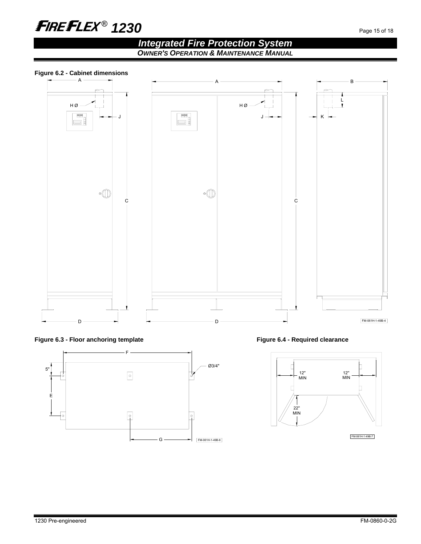

## **Figure 6.2 - Cabinet dimensions**



**Figure 6.3 - Floor anchoring template** 



**Figure 6.4 - Required clearance** 

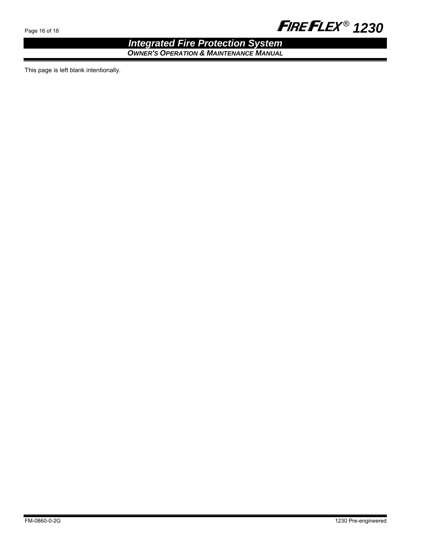

This page is left blank intentionally.